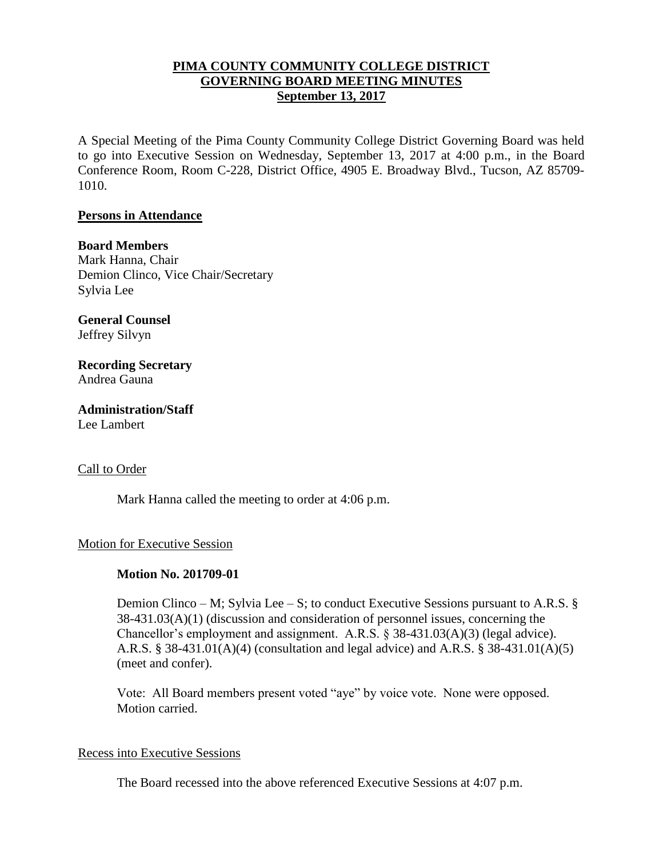## **PIMA COUNTY COMMUNITY COLLEGE DISTRICT GOVERNING BOARD MEETING MINUTES September 13, 2017**

A Special Meeting of the Pima County Community College District Governing Board was held to go into Executive Session on Wednesday, September 13, 2017 at 4:00 p.m., in the Board Conference Room, Room C-228, District Office, 4905 E. Broadway Blvd., Tucson, AZ 85709- 1010.

### **Persons in Attendance**

#### **Board Members**

Mark Hanna, Chair Demion Clinco, Vice Chair/Secretary Sylvia Lee

**General Counsel**  Jeffrey Silvyn

**Recording Secretary** Andrea Gauna

**Administration/Staff** Lee Lambert

#### Call to Order

Mark Hanna called the meeting to order at 4:06 p.m.

### Motion for Executive Session

#### **Motion No. 201709-01**

Demion Clinco – M; Sylvia Lee – S; to conduct Executive Sessions pursuant to A.R.S. § 38-431.03(A)(1) (discussion and consideration of personnel issues, concerning the Chancellor's employment and assignment. A.R.S. § 38-431.03(A)(3) (legal advice). A.R.S. § 38-431.01(A)(4) (consultation and legal advice) and A.R.S. § 38-431.01(A)(5) (meet and confer).

Vote: All Board members present voted "aye" by voice vote. None were opposed. Motion carried.

### Recess into Executive Sessions

The Board recessed into the above referenced Executive Sessions at 4:07 p.m.